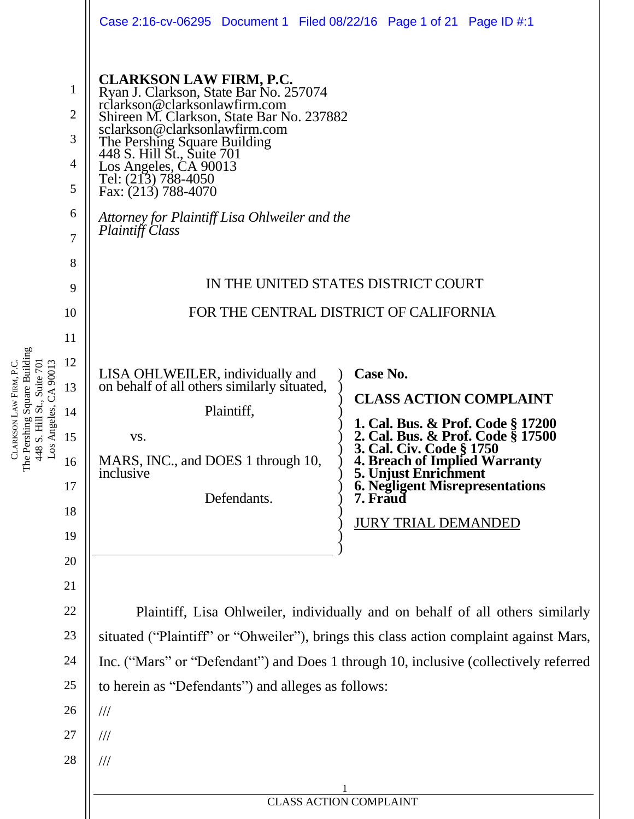|                                              | Case 2:16-cv-06295 Document 1 Filed 08/22/16 Page 1 of 21 Page ID #:1                                                                                                                                                                                                                                                                                                                            |                                                                                                       |  |  |  |  |
|----------------------------------------------|--------------------------------------------------------------------------------------------------------------------------------------------------------------------------------------------------------------------------------------------------------------------------------------------------------------------------------------------------------------------------------------------------|-------------------------------------------------------------------------------------------------------|--|--|--|--|
| 1<br>$\overline{2}$<br>3<br>4<br>5<br>6<br>7 | <b>CLARKSON LAW FIRM, P.C.</b><br>Ryan J. Clarkson, State Bar No. 257074<br>rclarkson@clarksonlawfirm.com<br>Shireen M. Clarkson, State Bar No. 237882<br>sclarkson@clarksonlawfirm.com<br>The Pershing Square Building<br>448 S. Hill St., Suite 701<br>Los Angeles, CA 90013<br>Tel: (213) 788-4050<br>Fax: (213) 788-4070<br>Attorney for Plaintiff Lisa Ohlweiler and the<br>Plaintiff Class |                                                                                                       |  |  |  |  |
| 8                                            |                                                                                                                                                                                                                                                                                                                                                                                                  |                                                                                                       |  |  |  |  |
| 9                                            | IN THE UNITED STATES DISTRICT COURT                                                                                                                                                                                                                                                                                                                                                              |                                                                                                       |  |  |  |  |
| 10                                           | FOR THE CENTRAL DISTRICT OF CALIFORNIA                                                                                                                                                                                                                                                                                                                                                           |                                                                                                       |  |  |  |  |
| 11                                           |                                                                                                                                                                                                                                                                                                                                                                                                  |                                                                                                       |  |  |  |  |
| 12                                           |                                                                                                                                                                                                                                                                                                                                                                                                  | Case No.                                                                                              |  |  |  |  |
| 13                                           | LISA OHLWEILER, individually and<br>on behalf of all others similarly situated,                                                                                                                                                                                                                                                                                                                  | <b>CLASS ACTION COMPLAINT</b>                                                                         |  |  |  |  |
| 14                                           | Plaintiff,                                                                                                                                                                                                                                                                                                                                                                                       | 1. Cal. Bus. & Prof. Code § 17200                                                                     |  |  |  |  |
| 15<br>16                                     | VS.<br>MARS, INC., and DOES 1 through 10,<br>inclusive                                                                                                                                                                                                                                                                                                                                           | 2. Cal. Bus. & Prof. Code § 17500<br>3. Cal. Civ. Code § 1750<br><b>4. Breach of Implied Warranty</b> |  |  |  |  |
| 17                                           | Defendants.                                                                                                                                                                                                                                                                                                                                                                                      | 5. Unjust Enrichment<br>6. Negligent Misrepresentations<br>7. Fraud                                   |  |  |  |  |
| 18                                           |                                                                                                                                                                                                                                                                                                                                                                                                  | <b>JURY TRIAL DEMANDED</b>                                                                            |  |  |  |  |
| 19                                           |                                                                                                                                                                                                                                                                                                                                                                                                  |                                                                                                       |  |  |  |  |
| 20                                           |                                                                                                                                                                                                                                                                                                                                                                                                  |                                                                                                       |  |  |  |  |
| 21                                           |                                                                                                                                                                                                                                                                                                                                                                                                  |                                                                                                       |  |  |  |  |
| 22                                           | Plaintiff, Lisa Ohlweiler, individually and on behalf of all others similarly                                                                                                                                                                                                                                                                                                                    |                                                                                                       |  |  |  |  |
| 23                                           | situated ("Plaintiff" or "Ohweiler"), brings this class action complaint against Mars,                                                                                                                                                                                                                                                                                                           |                                                                                                       |  |  |  |  |
| 24                                           | Inc. ("Mars" or "Defendant") and Does 1 through 10, inclusive (collectively referred                                                                                                                                                                                                                                                                                                             |                                                                                                       |  |  |  |  |
| 25                                           | to herein as "Defendants") and alleges as follows:                                                                                                                                                                                                                                                                                                                                               |                                                                                                       |  |  |  |  |
| 26                                           | $\frac{1}{1}$                                                                                                                                                                                                                                                                                                                                                                                    |                                                                                                       |  |  |  |  |
| 27                                           | ///                                                                                                                                                                                                                                                                                                                                                                                              |                                                                                                       |  |  |  |  |
| 28                                           | ///                                                                                                                                                                                                                                                                                                                                                                                              |                                                                                                       |  |  |  |  |
|                                              | <b>CLASS ACTION COMPLAINT</b>                                                                                                                                                                                                                                                                                                                                                                    |                                                                                                       |  |  |  |  |
|                                              |                                                                                                                                                                                                                                                                                                                                                                                                  |                                                                                                       |  |  |  |  |

| <b>CLASS ACTION COMPLAINT</b> |
|-------------------------------|
|-------------------------------|

CLARKSON LAW FIRM, P.C. The Pershing Square Building 448 S. Hill St., Suite 701 Los Angeles, CA 90013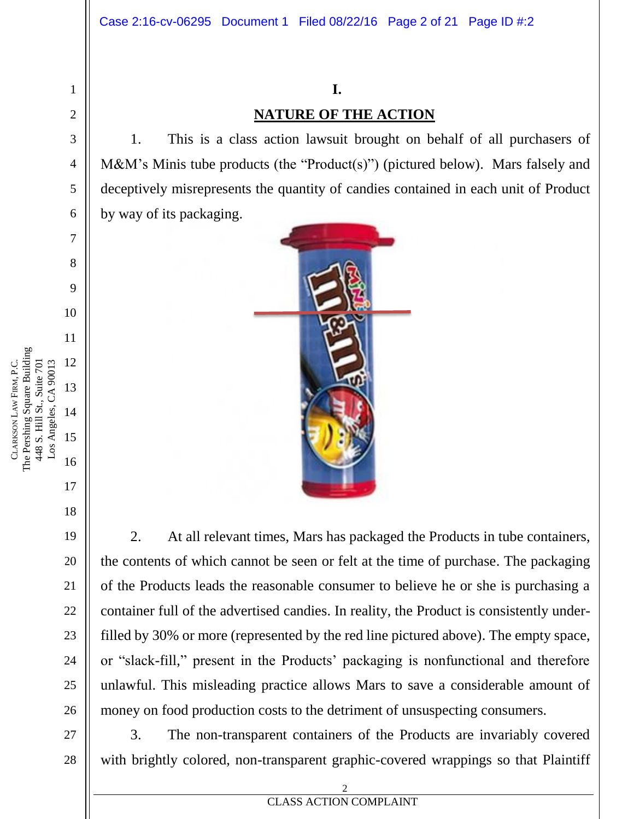## **I. NATURE OF THE ACTION**

1. This is a class action lawsuit brought on behalf of all purchasers of M&M's Minis tube products (the "Product(s)") (pictured below). Mars falsely and deceptively misrepresents the quantity of candies contained in each unit of Product by way of its packaging.



2. At all relevant times, Mars has packaged the Products in tube containers, the contents of which cannot be seen or felt at the time of purchase. The packaging of the Products leads the reasonable consumer to believe he or she is purchasing a container full of the advertised candies. In reality, the Product is consistently underfilled by 30% or more (represented by the red line pictured above). The empty space, or "slack-fill," present in the Products' packaging is nonfunctional and therefore unlawful. This misleading practice allows Mars to save a considerable amount of money on food production costs to the detriment of unsuspecting consumers.

3. The non-transparent containers of the Products are invariably covered with brightly colored, non-transparent graphic-covered wrappings so that Plaintiff

1

2

3

4

5

6

7

8

9

10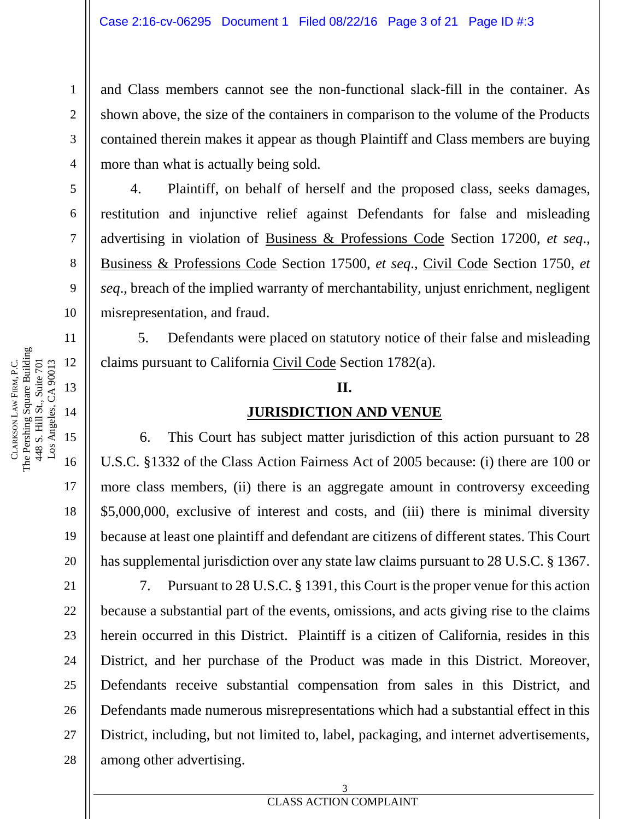and Class members cannot see the non-functional slack-fill in the container. As shown above, the size of the containers in comparison to the volume of the Products contained therein makes it appear as though Plaintiff and Class members are buying more than what is actually being sold.

4. Plaintiff, on behalf of herself and the proposed class, seeks damages, restitution and injunctive relief against Defendants for false and misleading advertising in violation of Business & Professions Code Section 17200, *et seq*., Business & Professions Code Section 17500, *et seq*., Civil Code Section 1750, *et seq*., breach of the implied warranty of merchantability, unjust enrichment, negligent misrepresentation, and fraud.

5. Defendants were placed on statutory notice of their false and misleading claims pursuant to California Civil Code Section 1782(a).

#### **II.**

#### **JURISDICTION AND VENUE**

6. This Court has subject matter jurisdiction of this action pursuant to 28 U.S.C. §1332 of the Class Action Fairness Act of 2005 because: (i) there are 100 or more class members, (ii) there is an aggregate amount in controversy exceeding \$5,000,000, exclusive of interest and costs, and (iii) there is minimal diversity because at least one plaintiff and defendant are citizens of different states. This Court has supplemental jurisdiction over any state law claims pursuant to 28 U.S.C. § 1367.

7. Pursuant to 28 U.S.C. § 1391, this Court is the proper venue for this action because a substantial part of the events, omissions, and acts giving rise to the claims herein occurred in this District. Plaintiff is a citizen of California, resides in this District, and her purchase of the Product was made in this District. Moreover, Defendants receive substantial compensation from sales in this District, and Defendants made numerous misrepresentations which had a substantial effect in this District, including, but not limited to, label, packaging, and internet advertisements, among other advertising.

1

2

3

4

5

6

7

8

9

10

11

12

13

14

15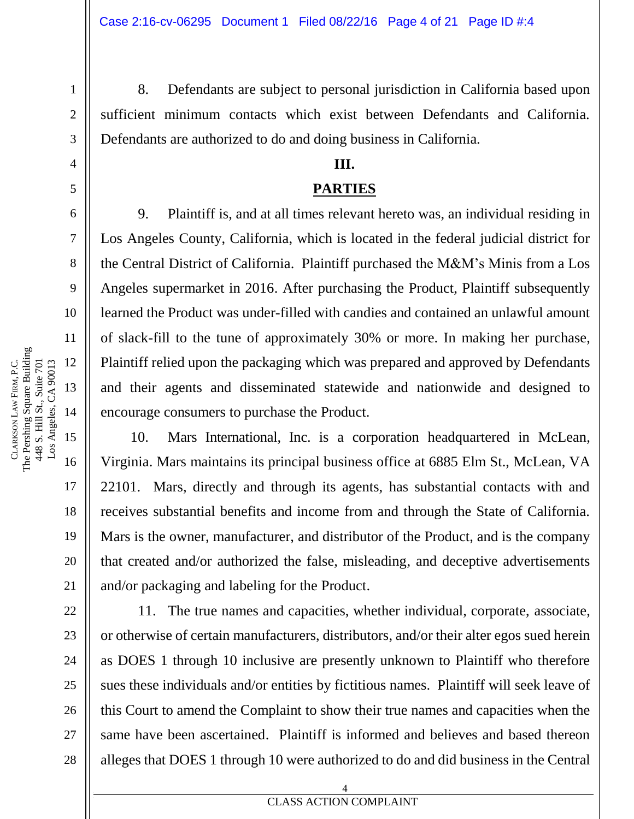8. Defendants are subject to personal jurisdiction in California based upon sufficient minimum contacts which exist between Defendants and California. Defendants are authorized to do and doing business in California.

#### **III.**

#### **PARTIES**

9. Plaintiff is, and at all times relevant hereto was, an individual residing in Los Angeles County, California, which is located in the federal judicial district for the Central District of California. Plaintiff purchased the M&M's Minis from a Los Angeles supermarket in 2016. After purchasing the Product, Plaintiff subsequently learned the Product was under-filled with candies and contained an unlawful amount of slack-fill to the tune of approximately 30% or more. In making her purchase, Plaintiff relied upon the packaging which was prepared and approved by Defendants and their agents and disseminated statewide and nationwide and designed to encourage consumers to purchase the Product.

10. Mars International, Inc. is a corporation headquartered in McLean, Virginia. Mars maintains its principal business office at 6885 Elm St., McLean, VA 22101. Mars, directly and through its agents, has substantial contacts with and receives substantial benefits and income from and through the State of California. Mars is the owner, manufacturer, and distributor of the Product, and is the company that created and/or authorized the false, misleading, and deceptive advertisements and/or packaging and labeling for the Product.

11. The true names and capacities, whether individual, corporate, associate, or otherwise of certain manufacturers, distributors, and/or their alter egos sued herein as DOES 1 through 10 inclusive are presently unknown to Plaintiff who therefore sues these individuals and/or entities by fictitious names. Plaintiff will seek leave of this Court to amend the Complaint to show their true names and capacities when the same have been ascertained. Plaintiff is informed and believes and based thereon alleges that DOES 1 through 10 were authorized to do and did business in the Central

1

2

3

4

5

6

7

8

9

10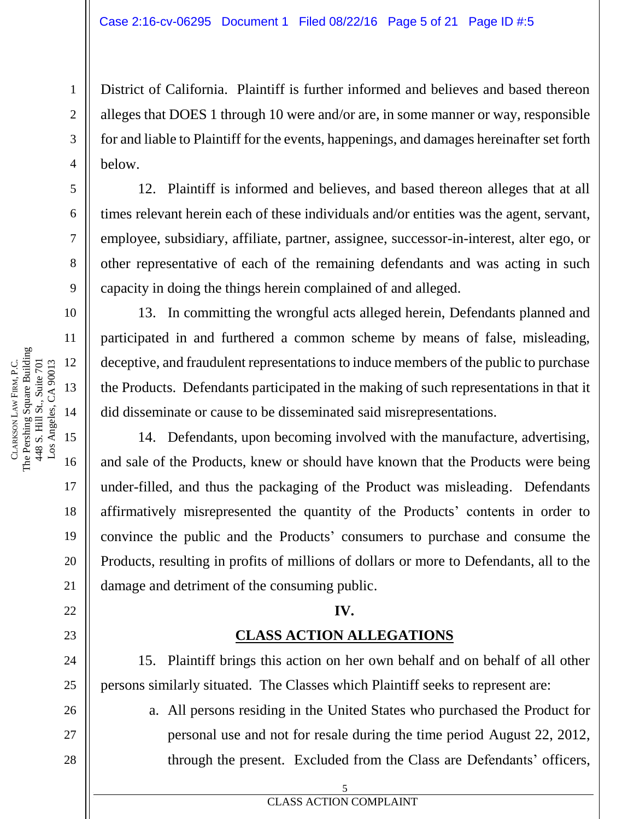District of California. Plaintiff is further informed and believes and based thereon alleges that DOES 1 through 10 were and/or are, in some manner or way, responsible for and liable to Plaintiff for the events, happenings, and damages hereinafter set forth below.

12. Plaintiff is informed and believes, and based thereon alleges that at all times relevant herein each of these individuals and/or entities was the agent, servant, employee, subsidiary, affiliate, partner, assignee, successor-in-interest, alter ego, or other representative of each of the remaining defendants and was acting in such capacity in doing the things herein complained of and alleged.

13. In committing the wrongful acts alleged herein, Defendants planned and participated in and furthered a common scheme by means of false, misleading, deceptive, and fraudulent representations to induce members of the public to purchase the Products. Defendants participated in the making of such representations in that it did disseminate or cause to be disseminated said misrepresentations.

14. Defendants, upon becoming involved with the manufacture, advertising, and sale of the Products, knew or should have known that the Products were being under-filled, and thus the packaging of the Product was misleading. Defendants affirmatively misrepresented the quantity of the Products' contents in order to convince the public and the Products' consumers to purchase and consume the Products, resulting in profits of millions of dollars or more to Defendants, all to the damage and detriment of the consuming public.

### **IV.**

### **CLASS ACTION ALLEGATIONS**

15. Plaintiff brings this action on her own behalf and on behalf of all other persons similarly situated. The Classes which Plaintiff seeks to represent are:

a. All persons residing in the United States who purchased the Product for personal use and not for resale during the time period August 22, 2012, through the present. Excluded from the Class are Defendants' officers,

1

2

3

4

5

6

7

8

9

10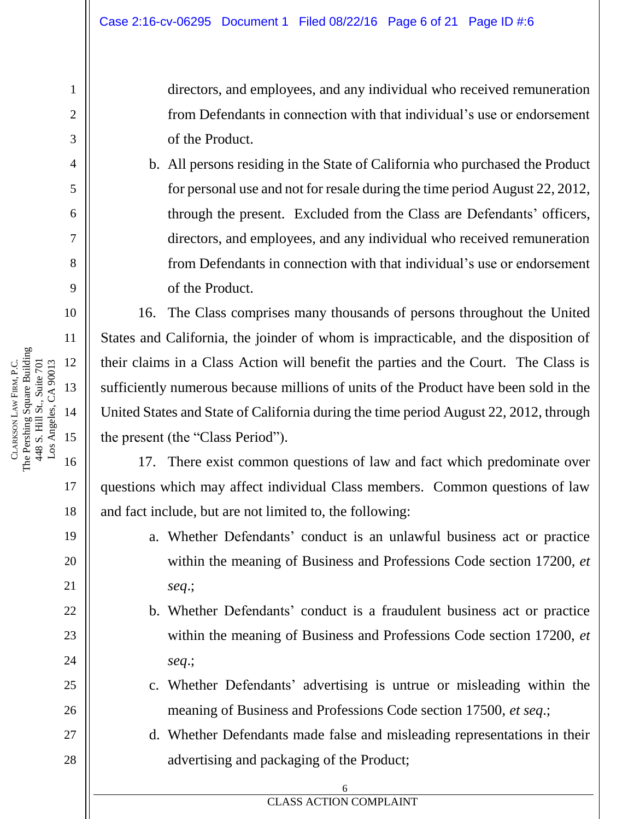directors, and employees, and any individual who received remuneration from Defendants in connection with that individual's use or endorsement of the Product.

b. All persons residing in the State of California who purchased the Product for personal use and not for resale during the time period August 22, 2012, through the present. Excluded from the Class are Defendants' officers, directors, and employees, and any individual who received remuneration from Defendants in connection with that individual's use or endorsement of the Product.

16. The Class comprises many thousands of persons throughout the United States and California, the joinder of whom is impracticable, and the disposition of their claims in a Class Action will benefit the parties and the Court. The Class is sufficiently numerous because millions of units of the Product have been sold in the United States and State of California during the time period August 22, 2012, through the present (the "Class Period").

17. There exist common questions of law and fact which predominate over questions which may affect individual Class members. Common questions of law and fact include, but are not limited to, the following:

- a. Whether Defendants' conduct is an unlawful business act or practice within the meaning of Business and Professions Code section 17200, *et seq*.;
- b. Whether Defendants' conduct is a fraudulent business act or practice within the meaning of Business and Professions Code section 17200, *et seq*.;
- c. Whether Defendants' advertising is untrue or misleading within the meaning of Business and Professions Code section 17500, *et seq*.;
- d. Whether Defendants made false and misleading representations in their advertising and packaging of the Product;

6

**EXECUTES EXECUTES EXECUTES EXECUTE DOCUMPLAINT** 

1

2

3

4

5

6

7

8

9

10

11

17

18

19

20

21

22

23

24

25

26

27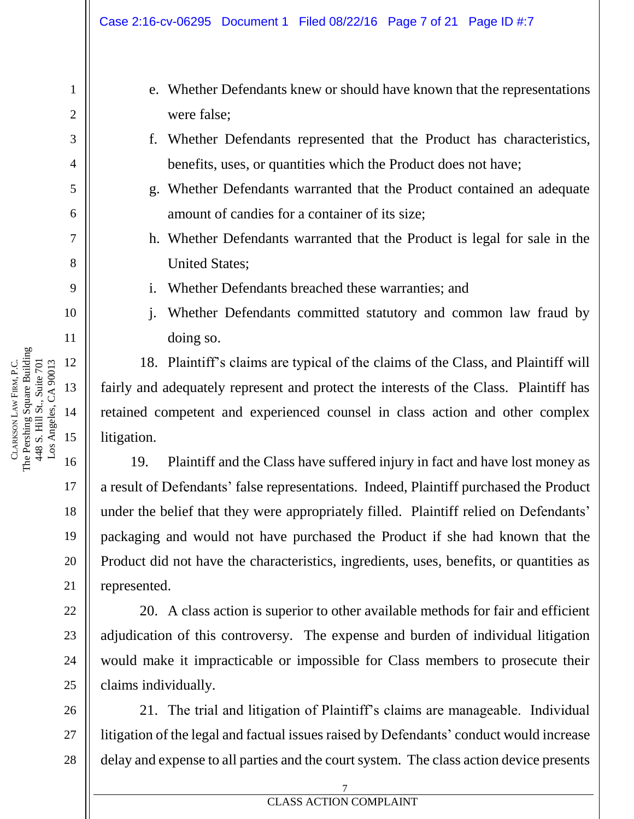21

22

23

24

25

1

- e. Whether Defendants knew or should have known that the representations were false;
- f. Whether Defendants represented that the Product has characteristics, benefits, uses, or quantities which the Product does not have;
- g. Whether Defendants warranted that the Product contained an adequate amount of candies for a container of its size;
- h. Whether Defendants warranted that the Product is legal for sale in the United States;
- i. Whether Defendants breached these warranties; and
- j. Whether Defendants committed statutory and common law fraud by doing so.

18. Plaintiff's claims are typical of the claims of the Class, and Plaintiff will fairly and adequately represent and protect the interests of the Class. Plaintiff has retained competent and experienced counsel in class action and other complex litigation.

19. Plaintiff and the Class have suffered injury in fact and have lost money as a result of Defendants' false representations. Indeed, Plaintiff purchased the Product under the belief that they were appropriately filled. Plaintiff relied on Defendants' packaging and would not have purchased the Product if she had known that the Product did not have the characteristics, ingredients, uses, benefits, or quantities as represented.

20. A class action is superior to other available methods for fair and efficient adjudication of this controversy. The expense and burden of individual litigation would make it impracticable or impossible for Class members to prosecute their claims individually.

26 27 28 21. The trial and litigation of Plaintiff's claims are manageable. Individual litigation of the legal and factual issues raised by Defendants' conduct would increase delay and expense to all parties and the court system. The class action device presents

The Pershing Square Building FIRM, P.C. 448 S. Hill St., Suite 701 448 S. Hill St., Suite 701 LAW CLARKSON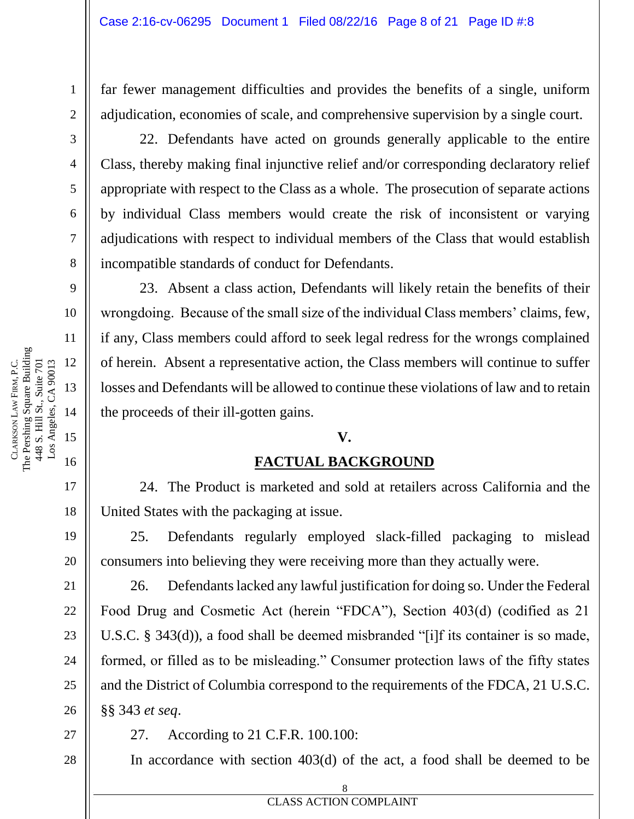far fewer management difficulties and provides the benefits of a single, uniform adjudication, economies of scale, and comprehensive supervision by a single court.

22. Defendants have acted on grounds generally applicable to the entire Class, thereby making final injunctive relief and/or corresponding declaratory relief appropriate with respect to the Class as a whole. The prosecution of separate actions by individual Class members would create the risk of inconsistent or varying adjudications with respect to individual members of the Class that would establish incompatible standards of conduct for Defendants.

23. Absent a class action, Defendants will likely retain the benefits of their wrongdoing. Because of the small size of the individual Class members' claims, few, if any, Class members could afford to seek legal redress for the wrongs complained of herein. Absent a representative action, the Class members will continue to suffer losses and Defendants will be allowed to continue these violations of law and to retain the proceeds of their ill-gotten gains.

#### **V.**

#### **FACTUAL BACKGROUND**

24. The Product is marketed and sold at retailers across California and the United States with the packaging at issue.

25. Defendants regularly employed slack-filled packaging to mislead consumers into believing they were receiving more than they actually were.

26. Defendants lacked any lawful justification for doing so. Under the Federal Food Drug and Cosmetic Act (herein "FDCA"), Section 403(d) (codified as 21 U.S.C. § 343(d)), a food shall be deemed misbranded "[i]f its container is so made, formed, or filled as to be misleading." Consumer protection laws of the fifty states and the District of Columbia correspond to the requirements of the FDCA, 21 U.S.C. §§ 343 *et seq*.

27. According to 21 C.F.R. 100.100:

In accordance with section 403(d) of the act, a food shall be deemed to be

1

2

3

4

5

6

7

8

9

10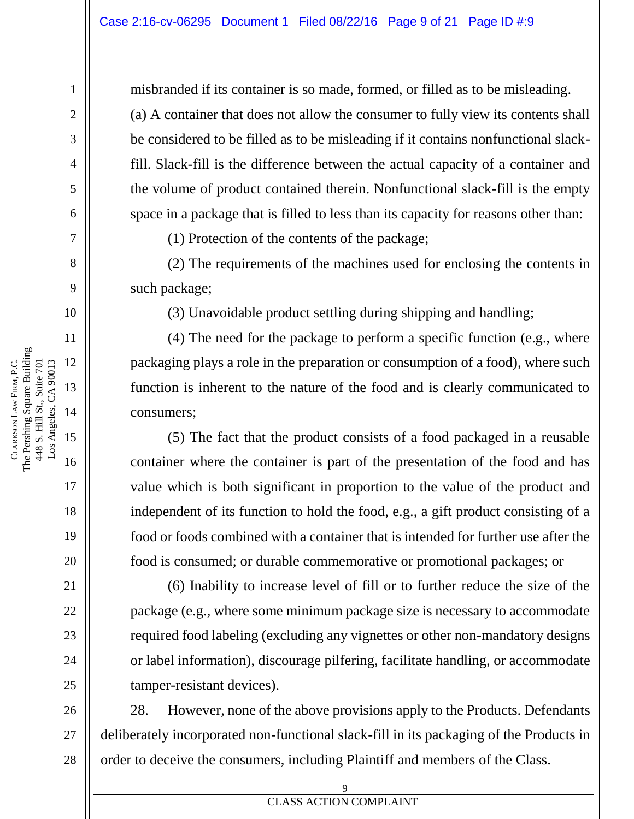misbranded if its container is so made, formed, or filled as to be misleading. (a) A container that does not allow the consumer to fully view its contents shall be considered to be filled as to be misleading if it contains nonfunctional slackfill. Slack-fill is the difference between the actual capacity of a container and the volume of product contained therein. Nonfunctional slack-fill is the empty space in a package that is filled to less than its capacity for reasons other than:

(1) Protection of the contents of the package;

(2) The requirements of the machines used for enclosing the contents in such package;

(3) Unavoidable product settling during shipping and handling;

(4) The need for the package to perform a specific function (e.g., where packaging plays a role in the preparation or consumption of a food), where such function is inherent to the nature of the food and is clearly communicated to consumers;

(5) The fact that the product consists of a food packaged in a reusable container where the container is part of the presentation of the food and has value which is both significant in proportion to the value of the product and independent of its function to hold the food, e.g., a gift product consisting of a food or foods combined with a container that is intended for further use after the food is consumed; or durable commemorative or promotional packages; or

(6) Inability to increase level of fill or to further reduce the size of the package (e.g., where some minimum package size is necessary to accommodate required food labeling (excluding any vignettes or other non-mandatory designs or label information), discourage pilfering, facilitate handling, or accommodate tamper-resistant devices).

26 27 28 28. However, none of the above provisions apply to the Products. Defendants deliberately incorporated non-functional slack-fill in its packaging of the Products in order to deceive the consumers, including Plaintiff and members of the Class.

CLARKSON

LAW

The Pershing Square Building

FIRM, P.C.

1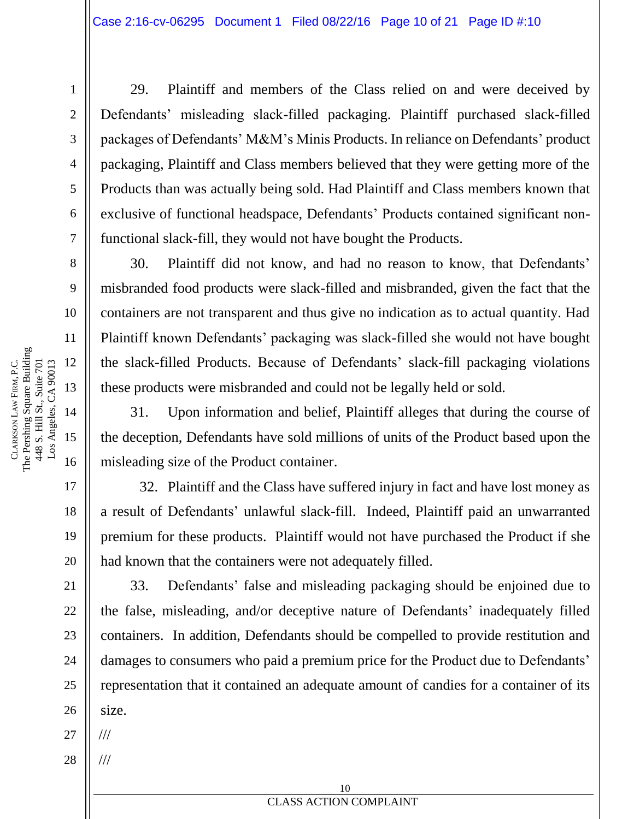29. Plaintiff and members of the Class relied on and were deceived by Defendants' misleading slack-filled packaging. Plaintiff purchased slack-filled packages of Defendants' M&M's Minis Products. In reliance on Defendants' product packaging, Plaintiff and Class members believed that they were getting more of the Products than was actually being sold. Had Plaintiff and Class members known that exclusive of functional headspace, Defendants' Products contained significant nonfunctional slack-fill, they would not have bought the Products.

30. Plaintiff did not know, and had no reason to know, that Defendants' misbranded food products were slack-filled and misbranded, given the fact that the containers are not transparent and thus give no indication as to actual quantity. Had Plaintiff known Defendants' packaging was slack-filled she would not have bought the slack-filled Products. Because of Defendants' slack-fill packaging violations these products were misbranded and could not be legally held or sold.

31. Upon information and belief, Plaintiff alleges that during the course of the deception, Defendants have sold millions of units of the Product based upon the misleading size of the Product container.

32. Plaintiff and the Class have suffered injury in fact and have lost money as a result of Defendants' unlawful slack-fill. Indeed, Plaintiff paid an unwarranted premium for these products. Plaintiff would not have purchased the Product if she had known that the containers were not adequately filled.

33. Defendants' false and misleading packaging should be enjoined due to the false, misleading, and/or deceptive nature of Defendants' inadequately filled containers. In addition, Defendants should be compelled to provide restitution and damages to consumers who paid a premium price for the Product due to Defendants' representation that it contained an adequate amount of candies for a container of its size.

27 ///

///

28

The Pershing Square Building 12 Los Angeles, CA 90013 FIRM, P.C. 448 S. Hill St., Suite 701 448 S. Hill St., Suite 701 Los Angeles, CA 90013 13 LAW 14 CLARKSON 15 16

1

2

3

4

5

6

7

8

9

10

11

17

18

19

20

21

22

23

24

25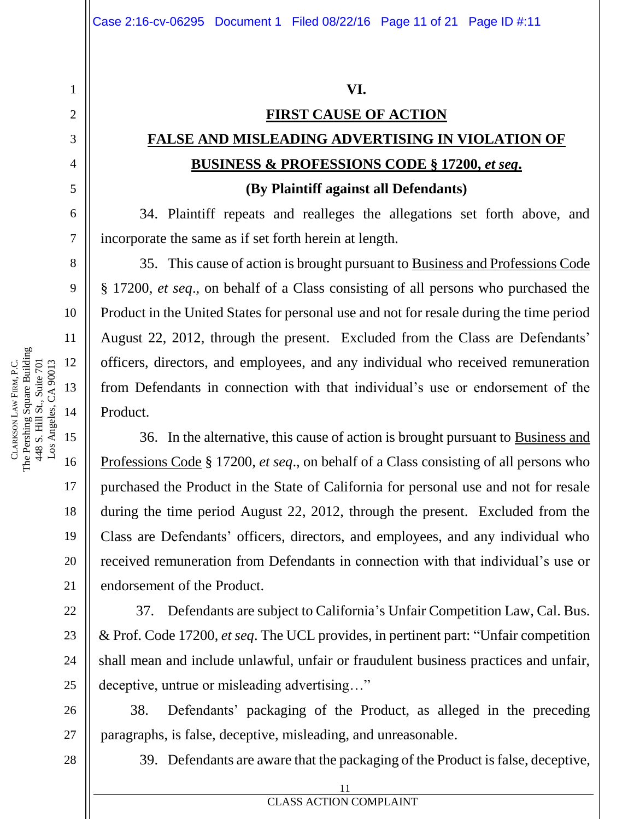# **FIRST CAUSE OF ACTION FALSE AND MISLEADING ADVERTISING IN VIOLATION OF BUSINESS & PROFESSIONS CODE § 17200,** *et seq***.**

#### **(By Plaintiff against all Defendants)**

34. Plaintiff repeats and realleges the allegations set forth above, and incorporate the same as if set forth herein at length.

35. This cause of action is brought pursuant to Business and Professions Code § 17200, *et seq*., on behalf of a Class consisting of all persons who purchased the Product in the United States for personal use and not for resale during the time period August 22, 2012, through the present. Excluded from the Class are Defendants' officers, directors, and employees, and any individual who received remuneration from Defendants in connection with that individual's use or endorsement of the Product.

36. In the alternative, this cause of action is brought pursuant to Business and Professions Code § 17200, *et seq*., on behalf of a Class consisting of all persons who purchased the Product in the State of California for personal use and not for resale during the time period August 22, 2012, through the present. Excluded from the Class are Defendants' officers, directors, and employees, and any individual who received remuneration from Defendants in connection with that individual's use or endorsement of the Product.

37. Defendants are subject to California's Unfair Competition Law, Cal. Bus. & Prof. Code 17200, *et seq*. The UCL provides, in pertinent part: "Unfair competition shall mean and include unlawful, unfair or fraudulent business practices and unfair, deceptive, untrue or misleading advertising…"

38. Defendants' packaging of the Product, as alleged in the preceding paragraphs, is false, deceptive, misleading, and unreasonable.

39. Defendants are aware that the packaging of the Product is false, deceptive,

1

2

3

4

5

6

7

8

9

10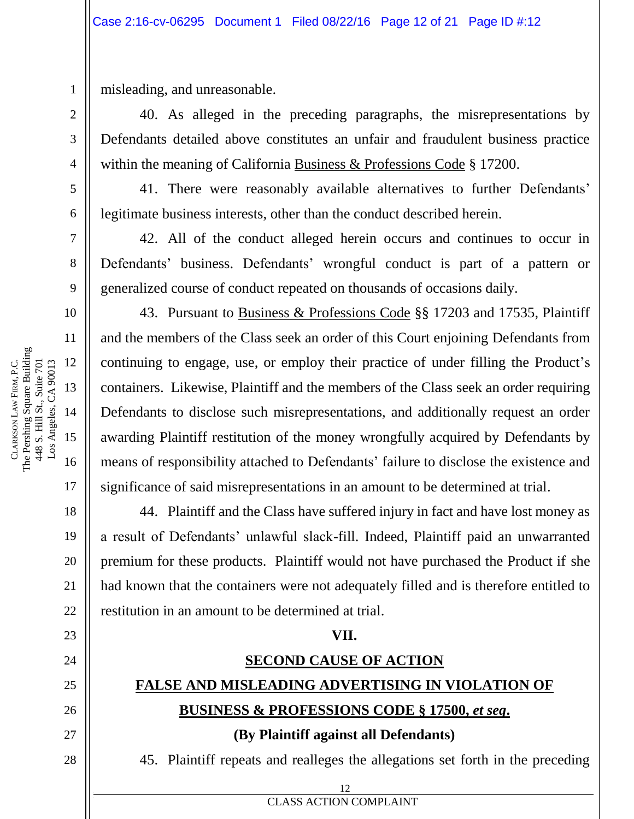misleading, and unreasonable.

40. As alleged in the preceding paragraphs, the misrepresentations by Defendants detailed above constitutes an unfair and fraudulent business practice within the meaning of California Business & Professions Code § 17200.

41. There were reasonably available alternatives to further Defendants' legitimate business interests, other than the conduct described herein.

42. All of the conduct alleged herein occurs and continues to occur in Defendants' business. Defendants' wrongful conduct is part of a pattern or generalized course of conduct repeated on thousands of occasions daily.

43. Pursuant to Business & Professions Code §§ 17203 and 17535, Plaintiff and the members of the Class seek an order of this Court enjoining Defendants from continuing to engage, use, or employ their practice of under filling the Product's containers. Likewise, Plaintiff and the members of the Class seek an order requiring Defendants to disclose such misrepresentations, and additionally request an order awarding Plaintiff restitution of the money wrongfully acquired by Defendants by means of responsibility attached to Defendants' failure to disclose the existence and significance of said misrepresentations in an amount to be determined at trial.

44. Plaintiff and the Class have suffered injury in fact and have lost money as a result of Defendants' unlawful slack-fill. Indeed, Plaintiff paid an unwarranted premium for these products. Plaintiff would not have purchased the Product if she had known that the containers were not adequately filled and is therefore entitled to restitution in an amount to be determined at trial.

#### **VII.**

### **SECOND CAUSE OF ACTION**

# **FALSE AND MISLEADING ADVERTISING IN VIOLATION OF**

## **BUSINESS & PROFESSIONS CODE § 17500,** *et seq***.**

#### **(By Plaintiff against all Defendants)**

45. Plaintiff repeats and realleges the allegations set forth in the preceding

1

2

3

4

5

6

7

8

9

10

11

17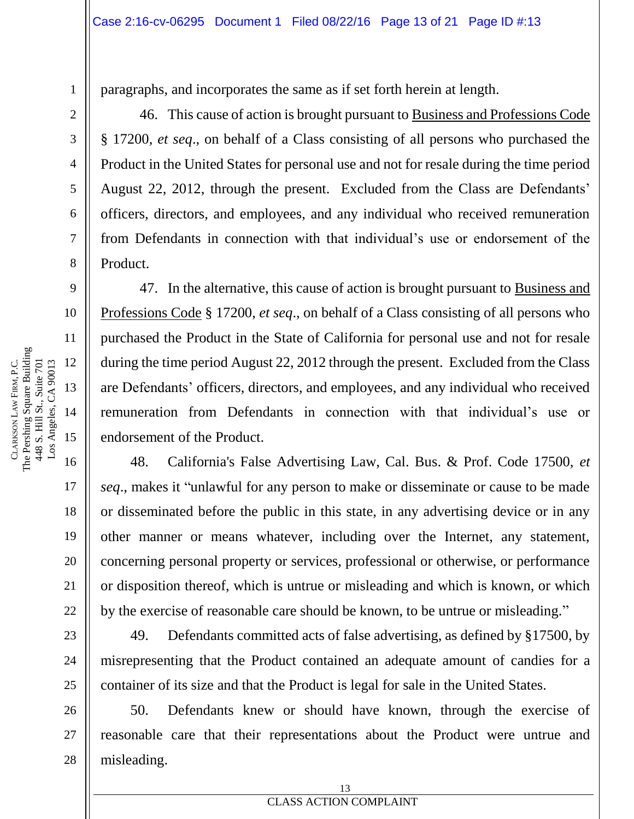paragraphs, and incorporates the same as if set forth herein at length.

46. This cause of action is brought pursuant to Business and Professions Code § 17200, *et seq*., on behalf of a Class consisting of all persons who purchased the Product in the United States for personal use and not for resale during the time period August 22, 2012, through the present. Excluded from the Class are Defendants' officers, directors, and employees, and any individual who received remuneration from Defendants in connection with that individual's use or endorsement of the Product.

47. In the alternative, this cause of action is brought pursuant to Business and Professions Code § 17200, *et seq*., on behalf of a Class consisting of all persons who purchased the Product in the State of California for personal use and not for resale during the time period August 22, 2012 through the present. Excluded from the Class are Defendants' officers, directors, and employees, and any individual who received remuneration from Defendants in connection with that individual's use or endorsement of the Product.

48. California's False Advertising Law, Cal. Bus. & Prof. Code 17500, *et seq*., makes it "unlawful for any person to make or disseminate or cause to be made or disseminated before the public in this state, in any advertising device or in any other manner or means whatever, including over the Internet, any statement, concerning personal property or services, professional or otherwise, or performance or disposition thereof, which is untrue or misleading and which is known, or which by the exercise of reasonable care should be known, to be untrue or misleading."

49. Defendants committed acts of false advertising, as defined by §17500, by misrepresenting that the Product contained an adequate amount of candies for a container of its size and that the Product is legal for sale in the United States.

50. Defendants knew or should have known, through the exercise of reasonable care that their representations about the Product were untrue and misleading.

1

2

3

4

5

6

7

8

9

10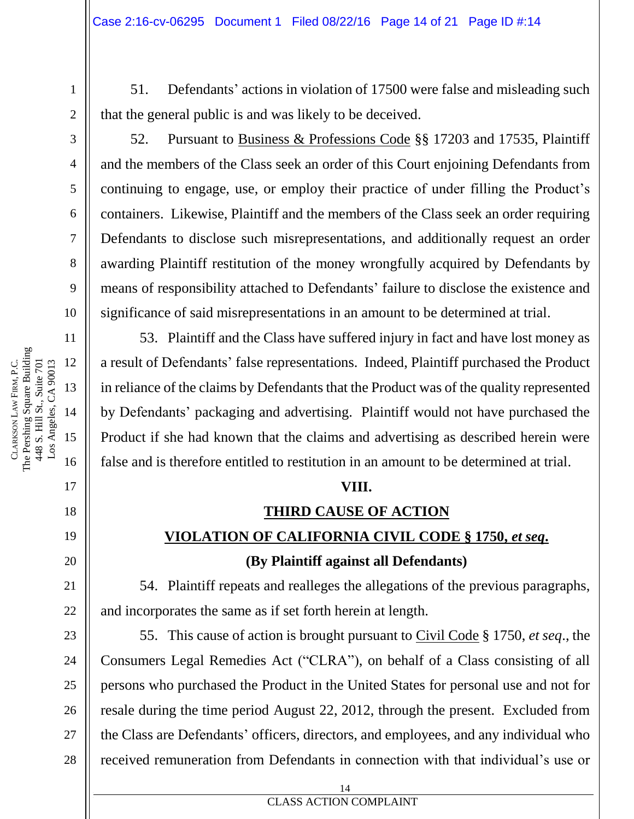51. Defendants' actions in violation of 17500 were false and misleading such that the general public is and was likely to be deceived.

1

2

3

4

5

6

7

8

9

17

18

19

20

21

22

23

24

25

26

27

28

52. Pursuant to Business & Professions Code §§ 17203 and 17535, Plaintiff and the members of the Class seek an order of this Court enjoining Defendants from continuing to engage, use, or employ their practice of under filling the Product's containers. Likewise, Plaintiff and the members of the Class seek an order requiring Defendants to disclose such misrepresentations, and additionally request an order awarding Plaintiff restitution of the money wrongfully acquired by Defendants by means of responsibility attached to Defendants' failure to disclose the existence and significance of said misrepresentations in an amount to be determined at trial.

53. Plaintiff and the Class have suffered injury in fact and have lost money as a result of Defendants' false representations. Indeed, Plaintiff purchased the Product in reliance of the claims by Defendants that the Product was of the quality represented by Defendants' packaging and advertising. Plaintiff would not have purchased the Product if she had known that the claims and advertising as described herein were false and is therefore entitled to restitution in an amount to be determined at trial.

#### **VIII.**

# **THIRD CAUSE OF ACTION VIOLATION OF CALIFORNIA CIVIL CODE § 1750,** *et seq***.**

#### **(By Plaintiff against all Defendants)**

54. Plaintiff repeats and realleges the allegations of the previous paragraphs, and incorporates the same as if set forth herein at length.

55. This cause of action is brought pursuant to Civil Code § 1750, *et seq*., the Consumers Legal Remedies Act ("CLRA"), on behalf of a Class consisting of all persons who purchased the Product in the United States for personal use and not for resale during the time period August 22, 2012, through the present. Excluded from the Class are Defendants' officers, directors, and employees, and any individual who received remuneration from Defendants in connection with that individual's use or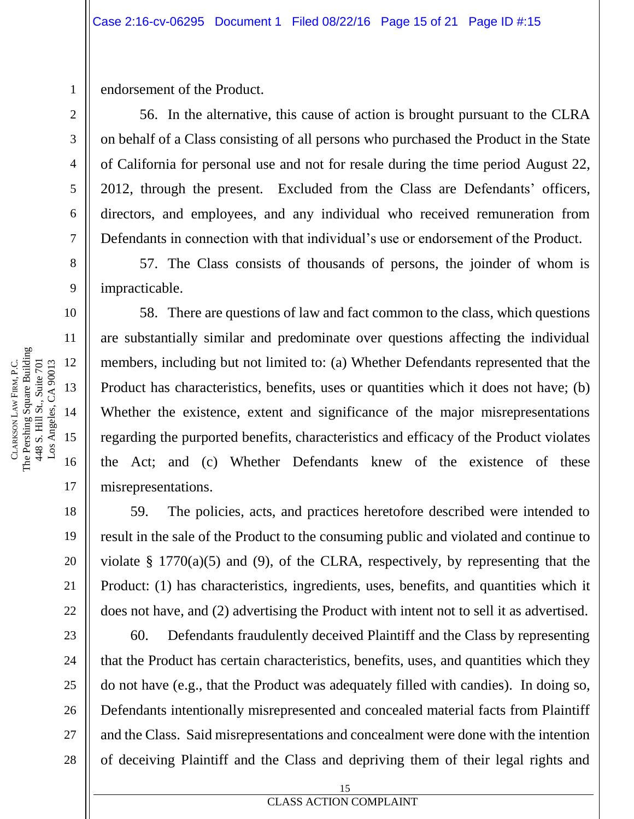endorsement of the Product.

56. In the alternative, this cause of action is brought pursuant to the CLRA on behalf of a Class consisting of all persons who purchased the Product in the State of California for personal use and not for resale during the time period August 22, 2012, through the present. Excluded from the Class are Defendants' officers, directors, and employees, and any individual who received remuneration from Defendants in connection with that individual's use or endorsement of the Product.

57. The Class consists of thousands of persons, the joinder of whom is impracticable.

58. There are questions of law and fact common to the class, which questions are substantially similar and predominate over questions affecting the individual members, including but not limited to: (a) Whether Defendants represented that the Product has characteristics, benefits, uses or quantities which it does not have; (b) Whether the existence, extent and significance of the major misrepresentations regarding the purported benefits, characteristics and efficacy of the Product violates the Act; and (c) Whether Defendants knew of the existence of these misrepresentations.

59. The policies, acts, and practices heretofore described were intended to result in the sale of the Product to the consuming public and violated and continue to violate  $\S$  1770(a)(5) and (9), of the CLRA, respectively, by representing that the Product: (1) has characteristics, ingredients, uses, benefits, and quantities which it does not have, and (2) advertising the Product with intent not to sell it as advertised.

60. Defendants fraudulently deceived Plaintiff and the Class by representing that the Product has certain characteristics, benefits, uses, and quantities which they do not have (e.g., that the Product was adequately filled with candies). In doing so, Defendants intentionally misrepresented and concealed material facts from Plaintiff and the Class. Said misrepresentations and concealment were done with the intention of deceiving Plaintiff and the Class and depriving them of their legal rights and

1

2

3

4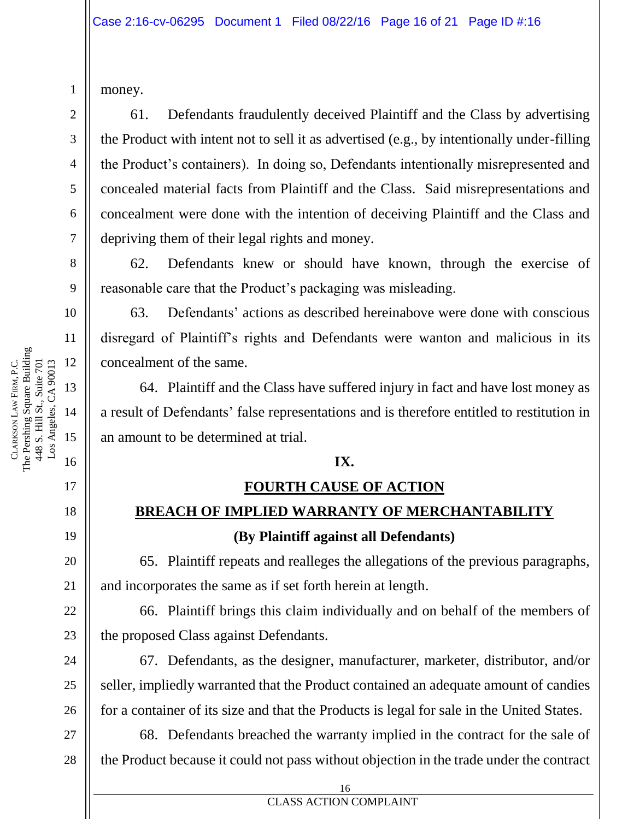|                         |                                                            |                       | $\overline{\mathcal{L}}$ |
|-------------------------|------------------------------------------------------------|-----------------------|--------------------------|
|                         |                                                            |                       |                          |
|                         |                                                            |                       |                          |
|                         |                                                            |                       |                          |
|                         |                                                            |                       | 5 6 7 8 9                |
|                         |                                                            |                       |                          |
|                         |                                                            |                       | 10                       |
|                         | The Pershing Square Building<br>448 S. Hill St., Suite 701 | Los Angeles, CA 90013 | 11                       |
|                         |                                                            |                       | 12                       |
| CLARKSON LAW FIRM, P.C. |                                                            |                       | 13                       |
|                         |                                                            |                       | 14                       |
|                         |                                                            |                       | 15                       |
|                         |                                                            |                       | 16                       |
|                         |                                                            |                       | 17                       |

18

19

20

21

22

23

24

25

26

money.

1

2

3

61. Defendants fraudulently deceived Plaintiff and the Class by advertising the Product with intent not to sell it as advertised (e.g., by intentionally under-filling the Product's containers). In doing so, Defendants intentionally misrepresented and concealed material facts from Plaintiff and the Class. Said misrepresentations and concealment were done with the intention of deceiving Plaintiff and the Class and depriving them of their legal rights and money.

62. Defendants knew or should have known, through the exercise of reasonable care that the Product's packaging was misleading.

63. Defendants' actions as described hereinabove were done with conscious disregard of Plaintiff's rights and Defendants were wanton and malicious in its concealment of the same.

64. Plaintiff and the Class have suffered injury in fact and have lost money as a result of Defendants' false representations and is therefore entitled to restitution in an amount to be determined at trial.

#### **IX.**

#### **FOURTH CAUSE OF ACTION**

## **BREACH OF IMPLIED WARRANTY OF MERCHANTABILITY**

### **(By Plaintiff against all Defendants)**

65. Plaintiff repeats and realleges the allegations of the previous paragraphs, and incorporates the same as if set forth herein at length.

66. Plaintiff brings this claim individually and on behalf of the members of the proposed Class against Defendants.

67. Defendants, as the designer, manufacturer, marketer, distributor, and/or seller, impliedly warranted that the Product contained an adequate amount of candies for a container of its size and that the Products is legal for sale in the United States.

27 28 68. Defendants breached the warranty implied in the contract for the sale of the Product because it could not pass without objection in the trade under the contract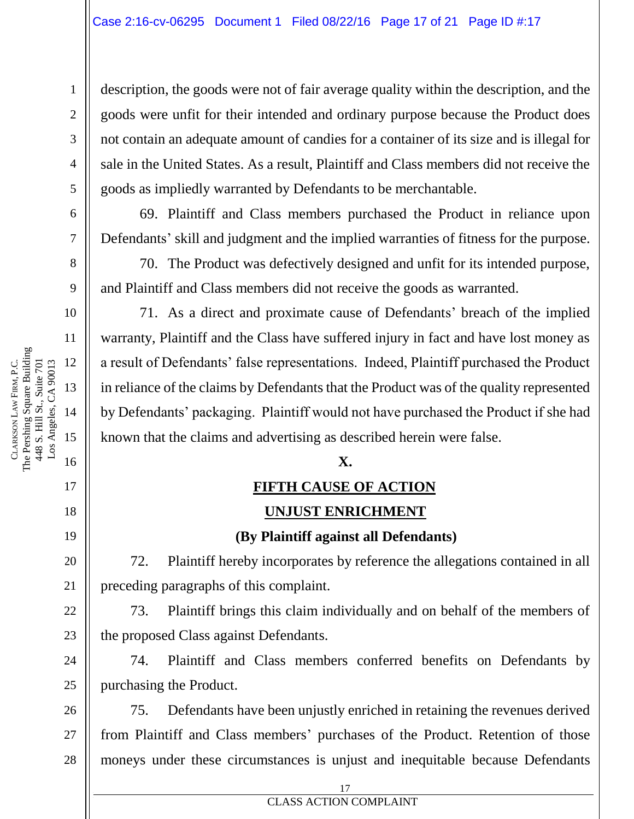description, the goods were not of fair average quality within the description, and the goods were unfit for their intended and ordinary purpose because the Product does not contain an adequate amount of candies for a container of its size and is illegal for sale in the United States. As a result, Plaintiff and Class members did not receive the goods as impliedly warranted by Defendants to be merchantable.

69. Plaintiff and Class members purchased the Product in reliance upon Defendants' skill and judgment and the implied warranties of fitness for the purpose.

70. The Product was defectively designed and unfit for its intended purpose, and Plaintiff and Class members did not receive the goods as warranted.

71. As a direct and proximate cause of Defendants' breach of the implied warranty, Plaintiff and the Class have suffered injury in fact and have lost money as a result of Defendants' false representations. Indeed, Plaintiff purchased the Product in reliance of the claims by Defendants that the Product was of the quality represented by Defendants' packaging. Plaintiff would not have purchased the Product if she had known that the claims and advertising as described herein were false.

#### **X.**

#### **FIFTH CAUSE OF ACTION**

#### **UNJUST ENRICHMENT**

#### **(By Plaintiff against all Defendants)**

72. Plaintiff hereby incorporates by reference the allegations contained in all preceding paragraphs of this complaint.

73. Plaintiff brings this claim individually and on behalf of the members of the proposed Class against Defendants.

74. Plaintiff and Class members conferred benefits on Defendants by purchasing the Product.

26 27 28 75. Defendants have been unjustly enriched in retaining the revenues derived from Plaintiff and Class members' purchases of the Product. Retention of those moneys under these circumstances is unjust and inequitable because Defendants

1

2

3

4

5

6

7

8

9

10

11

17

18

19

20

21

22

23

24

```
17
```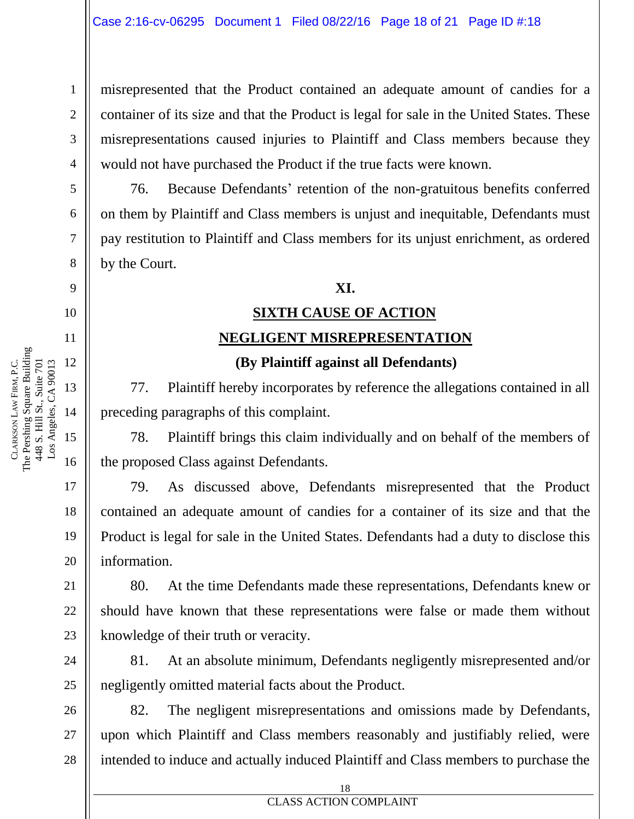misrepresented that the Product contained an adequate amount of candies for a container of its size and that the Product is legal for sale in the United States. These misrepresentations caused injuries to Plaintiff and Class members because they would not have purchased the Product if the true facts were known.

76. Because Defendants' retention of the non-gratuitous benefits conferred on them by Plaintiff and Class members is unjust and inequitable, Defendants must pay restitution to Plaintiff and Class members for its unjust enrichment, as ordered by the Court.

#### **XI.**

# **SIXTH CAUSE OF ACTION NEGLIGENT MISREPRESENTATION**

#### **(By Plaintiff against all Defendants)**

77. Plaintiff hereby incorporates by reference the allegations contained in all preceding paragraphs of this complaint.

78. Plaintiff brings this claim individually and on behalf of the members of the proposed Class against Defendants.

79. As discussed above, Defendants misrepresented that the Product contained an adequate amount of candies for a container of its size and that the Product is legal for sale in the United States. Defendants had a duty to disclose this information.

80. At the time Defendants made these representations, Defendants knew or should have known that these representations were false or made them without knowledge of their truth or veracity.

81. At an absolute minimum, Defendants negligently misrepresented and/or negligently omitted material facts about the Product.

82. The negligent misrepresentations and omissions made by Defendants, upon which Plaintiff and Class members reasonably and justifiably relied, were intended to induce and actually induced Plaintiff and Class members to purchase the

1

2

3

4

5

6

7

8

9

10

11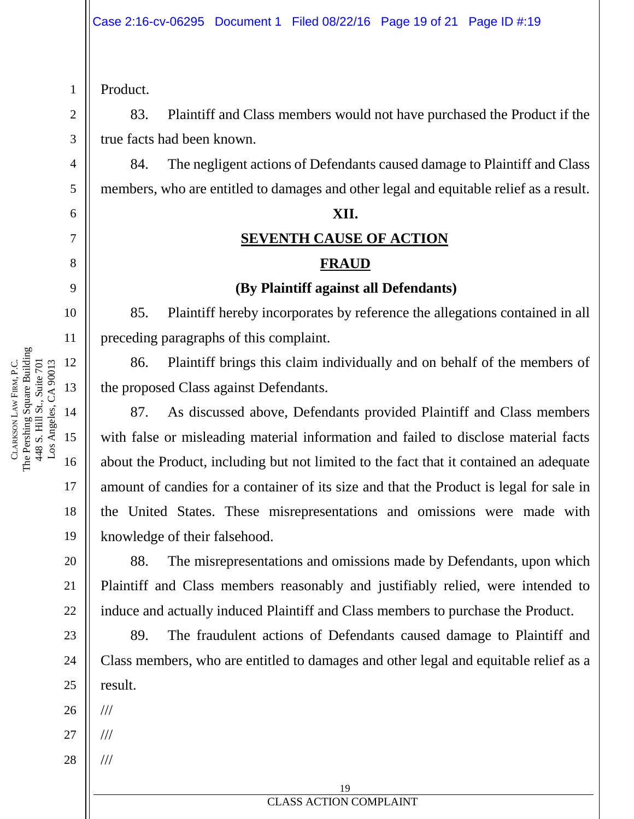Product.

1

2

3

4

5

6

7

8

9

10

17

18

19

20

21

22

23

24

25

83. Plaintiff and Class members would not have purchased the Product if the true facts had been known.

84. The negligent actions of Defendants caused damage to Plaintiff and Class members, who are entitled to damages and other legal and equitable relief as a result.

#### **XII.**

#### **SEVENTH CAUSE OF ACTION**

#### **FRAUD**

#### **(By Plaintiff against all Defendants)**

85. Plaintiff hereby incorporates by reference the allegations contained in all preceding paragraphs of this complaint.

86. Plaintiff brings this claim individually and on behalf of the members of the proposed Class against Defendants.

87. As discussed above, Defendants provided Plaintiff and Class members with false or misleading material information and failed to disclose material facts about the Product, including but not limited to the fact that it contained an adequate amount of candies for a container of its size and that the Product is legal for sale in the United States. These misrepresentations and omissions were made with knowledge of their falsehood.

88. The misrepresentations and omissions made by Defendants, upon which Plaintiff and Class members reasonably and justifiably relied, were intended to induce and actually induced Plaintiff and Class members to purchase the Product.

89. The fraudulent actions of Defendants caused damage to Plaintiff and Class members, who are entitled to damages and other legal and equitable relief as a result.

26 ///

///

- 27 ///
- 28

11 The Pershing Square Building 12 Los Angeles, CA 90013 FIRM, P.C. 448 S. Hill St., Suite 701 448 S. Hill St., Suite 701 Los Angeles, CA 90013 13 LAW 14 CLARKSON 15 16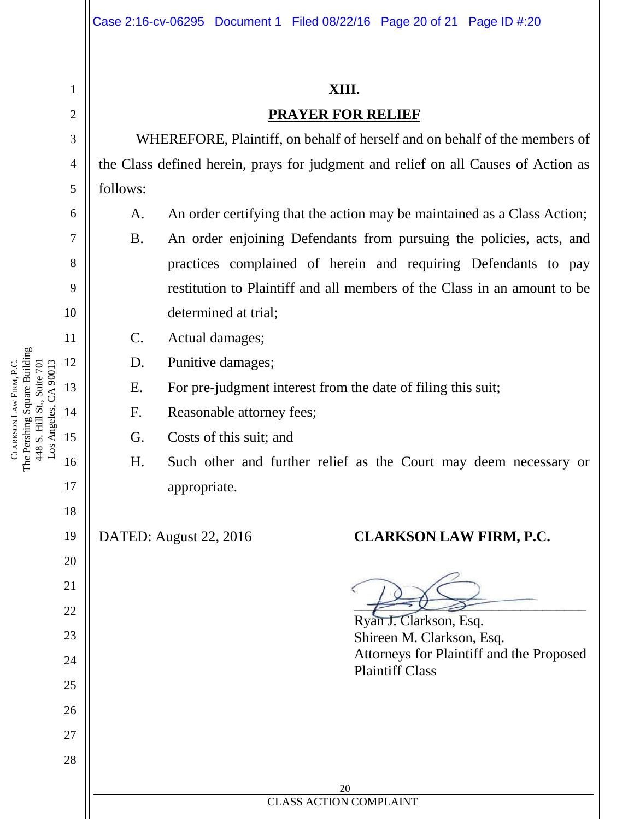#### **XIII.**

#### **PRAYER FOR RELIEF**

WHEREFORE, Plaintiff, on behalf of herself and on behalf of the members of the Class defined herein, prays for judgment and relief on all Causes of Action as follows:

- A. An order certifying that the action may be maintained as a Class Action;
	- B. An order enjoining Defendants from pursuing the policies, acts, and practices complained of herein and requiring Defendants to pay restitution to Plaintiff and all members of the Class in an amount to be determined at trial;
- C. Actual damages;
- D. Punitive damages;
- E. For pre-judgment interest from the date of filing this suit;
- F. Reasonable attorney fees;
- G. Costs of this suit; and
- H. Such other and further relief as the Court may deem necessary or appropriate.

## DATED: August 22, 2016 **CLARKSON LAW FIRM, P.C.**

 $\overbrace{\phantom{aaaaa}}$ 

Ryan J. Clarkson, Esq. Shireen M. Clarkson, Esq. Attorneys for Plaintiff and the Proposed Plaintiff Class

The Pershing Square Building 12 Los Angeles, CA 90013 FIRM, P.C. 448 S. Hill St., Suite 701 448 S. Hill St., Suite 701 Los Angeles, CA 90013 13 LAW 14 CLARKSON 15 16

1

2

3

4

5

6

7

8

9

10

11

17

18

19

20

21

22

23

24

25

26

27